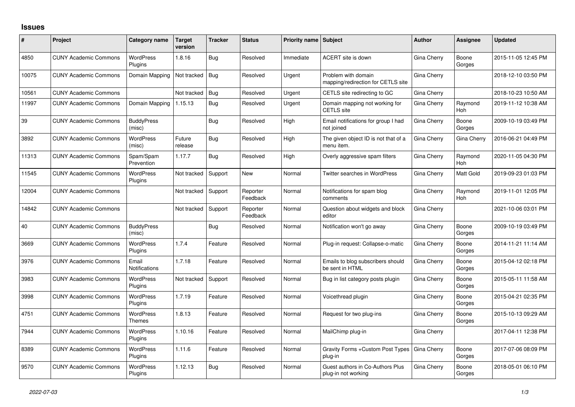## **Issues**

| #     | Project                      | Category name                      | Target<br>version | <b>Tracker</b> | <b>Status</b>        | <b>Priority name Subject</b> |                                                           | <b>Author</b> | Assignee              | <b>Updated</b>      |
|-------|------------------------------|------------------------------------|-------------------|----------------|----------------------|------------------------------|-----------------------------------------------------------|---------------|-----------------------|---------------------|
| 4850  | <b>CUNY Academic Commons</b> | <b>WordPress</b><br>Plugins        | 1.8.16            | Bug            | Resolved             | Immediate                    | ACERT site is down                                        | Gina Cherry   | Boone<br>Gorges       | 2015-11-05 12:45 PM |
| 10075 | <b>CUNY Academic Commons</b> | Domain Mapping                     | Not tracked       | Bug            | Resolved             | Urgent                       | Problem with domain<br>mapping/redirection for CETLS site | Gina Cherry   |                       | 2018-12-10 03:50 PM |
| 10561 | <b>CUNY Academic Commons</b> |                                    | Not tracked       | Bug            | Resolved             | Urgent                       | CETLS site redirecting to GC                              | Gina Cherry   |                       | 2018-10-23 10:50 AM |
| 11997 | <b>CUNY Academic Commons</b> | Domain Mapping                     | 1.15.13           | Bug            | Resolved             | Urgent                       | Domain mapping not working for<br><b>CETLS</b> site       | Gina Cherry   | Raymond<br>Hoh        | 2019-11-12 10:38 AM |
| 39    | <b>CUNY Academic Commons</b> | <b>BuddyPress</b><br>(misc)        |                   | Bug            | Resolved             | High                         | Email notifications for group I had<br>not joined         | Gina Cherry   | Boone<br>Gorges       | 2009-10-19 03:49 PM |
| 3892  | <b>CUNY Academic Commons</b> | <b>WordPress</b><br>(misc)         | Future<br>release | Bug            | Resolved             | High                         | The given object ID is not that of a<br>menu item.        | Gina Cherry   | Gina Cherry           | 2016-06-21 04:49 PM |
| 11313 | <b>CUNY Academic Commons</b> | Spam/Spam<br>Prevention            | 1.17.7            | Bug            | Resolved             | High                         | Overly aggressive spam filters                            | Gina Cherry   | Raymond<br><b>Hoh</b> | 2020-11-05 04:30 PM |
| 11545 | <b>CUNY Academic Commons</b> | <b>WordPress</b><br>Plugins        | Not tracked       | Support        | <b>New</b>           | Normal                       | Twitter searches in WordPress                             | Gina Cherry   | Matt Gold             | 2019-09-23 01:03 PM |
| 12004 | <b>CUNY Academic Commons</b> |                                    | Not tracked       | Support        | Reporter<br>Feedback | Normal                       | Notifications for spam blog<br>comments                   | Gina Cherry   | Raymond<br>Hoh        | 2019-11-01 12:05 PM |
| 14842 | <b>CUNY Academic Commons</b> |                                    | Not tracked       | Support        | Reporter<br>Feedback | Normal                       | Question about widgets and block<br>editor                | Gina Cherry   |                       | 2021-10-06 03:01 PM |
| 40    | <b>CUNY Academic Commons</b> | <b>BuddyPress</b><br>(misc)        |                   | <b>Bug</b>     | Resolved             | Normal                       | Notification won't go away                                | Gina Cherry   | Boone<br>Gorges       | 2009-10-19 03:49 PM |
| 3669  | <b>CUNY Academic Commons</b> | <b>WordPress</b><br>Plugins        | 1.7.4             | Feature        | Resolved             | Normal                       | Plug-in request: Collapse-o-matic                         | Gina Cherry   | Boone<br>Gorges       | 2014-11-21 11:14 AM |
| 3976  | <b>CUNY Academic Commons</b> | Email<br><b>Notifications</b>      | 1.7.18            | Feature        | Resolved             | Normal                       | Emails to blog subscribers should<br>be sent in HTML      | Gina Cherry   | Boone<br>Gorges       | 2015-04-12 02:18 PM |
| 3983  | <b>CUNY Academic Commons</b> | <b>WordPress</b><br>Plugins        | Not tracked       | Support        | Resolved             | Normal                       | Bug in list category posts plugin                         | Gina Cherry   | Boone<br>Gorges       | 2015-05-11 11:58 AM |
| 3998  | <b>CUNY Academic Commons</b> | <b>WordPress</b><br>Plugins        | 1.7.19            | Feature        | Resolved             | Normal                       | Voicethread plugin                                        | Gina Cherry   | Boone<br>Gorges       | 2015-04-21 02:35 PM |
| 4751  | <b>CUNY Academic Commons</b> | <b>WordPress</b><br>Themes         | 1.8.13            | Feature        | Resolved             | Normal                       | Request for two plug-ins                                  | Gina Cherry   | Boone<br>Gorges       | 2015-10-13 09:29 AM |
| 7944  | <b>CUNY Academic Commons</b> | <b>WordPress</b><br><b>Plugins</b> | 1.10.16           | Feature        | Resolved             | Normal                       | MailChimp plug-in                                         | Gina Cherry   |                       | 2017-04-11 12:38 PM |
| 8389  | <b>CUNY Academic Commons</b> | <b>WordPress</b><br>Plugins        | 1.11.6            | Feature        | Resolved             | Normal                       | Gravity Forms + Custom Post Types<br>plug-in              | Gina Cherry   | Boone<br>Gorges       | 2017-07-06 08:09 PM |
| 9570  | <b>CUNY Academic Commons</b> | WordPress<br>Plugins               | 1.12.13           | <b>Bug</b>     | Resolved             | Normal                       | Guest authors in Co-Authors Plus<br>plug-in not working   | Gina Cherry   | Boone<br>Gorges       | 2018-05-01 06:10 PM |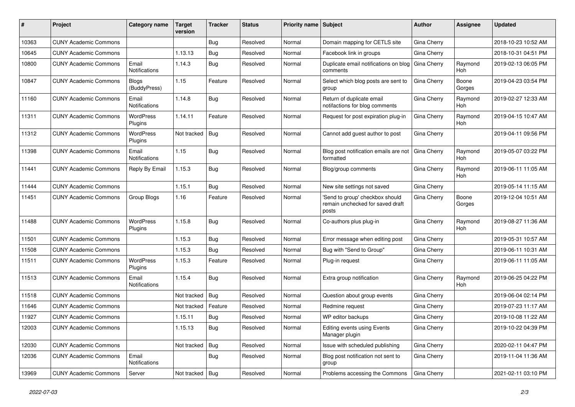| #     | Project                      | <b>Category name</b>          | <b>Target</b><br>version | <b>Tracker</b> | <b>Status</b> | <b>Priority name Subject</b> |                                                                              | Author      | Assignee              | <b>Updated</b>      |
|-------|------------------------------|-------------------------------|--------------------------|----------------|---------------|------------------------------|------------------------------------------------------------------------------|-------------|-----------------------|---------------------|
| 10363 | <b>CUNY Academic Commons</b> |                               |                          | Bug            | Resolved      | Normal                       | Domain mapping for CETLS site                                                | Gina Cherry |                       | 2018-10-23 10:52 AM |
| 10645 | <b>CUNY Academic Commons</b> |                               | 1.13.13                  | Bug            | Resolved      | Normal                       | Facebook link in groups                                                      | Gina Cherry |                       | 2018-10-31 04:51 PM |
| 10800 | <b>CUNY Academic Commons</b> | Email<br><b>Notifications</b> | 1.14.3                   | Bug            | Resolved      | Normal                       | Duplicate email notifications on blog<br>comments                            | Gina Cherry | Raymond<br>Hoh        | 2019-02-13 06:05 PM |
| 10847 | <b>CUNY Academic Commons</b> | Blogs<br>(BuddyPress)         | 1.15                     | Feature        | Resolved      | Normal                       | Select which blog posts are sent to<br>group                                 | Gina Cherry | Boone<br>Gorges       | 2019-04-23 03:54 PM |
| 11160 | <b>CUNY Academic Commons</b> | Email<br><b>Notifications</b> | 1.14.8                   | Bug            | Resolved      | Normal                       | Return of duplicate email<br>notifactions for blog comments                  | Gina Cherry | Raymond<br><b>Hoh</b> | 2019-02-27 12:33 AM |
| 11311 | <b>CUNY Academic Commons</b> | <b>WordPress</b><br>Plugins   | 1.14.11                  | Feature        | Resolved      | Normal                       | Request for post expiration plug-in                                          | Gina Cherry | Raymond<br>Hoh        | 2019-04-15 10:47 AM |
| 11312 | <b>CUNY Academic Commons</b> | <b>WordPress</b><br>Plugins   | Not tracked              | <b>Bug</b>     | Resolved      | Normal                       | Cannot add guest author to post                                              | Gina Cherry |                       | 2019-04-11 09:56 PM |
| 11398 | <b>CUNY Academic Commons</b> | Email<br><b>Notifications</b> | 1.15                     | Bug            | Resolved      | Normal                       | Blog post notification emails are not<br>formatted                           | Gina Cherry | Raymond<br>Hoh        | 2019-05-07 03:22 PM |
| 11441 | <b>CUNY Academic Commons</b> | Reply By Email                | 1.15.3                   | Bug            | Resolved      | Normal                       | Blog/group comments                                                          | Gina Cherry | Raymond<br>Hoh        | 2019-06-11 11:05 AM |
| 11444 | <b>CUNY Academic Commons</b> |                               | 1.15.1                   | Bug            | Resolved      | Normal                       | New site settings not saved                                                  | Gina Cherry |                       | 2019-05-14 11:15 AM |
| 11451 | <b>CUNY Academic Commons</b> | Group Blogs                   | 1.16                     | Feature        | Resolved      | Normal                       | 'Send to group' checkbox should<br>remain unchecked for saved draft<br>posts | Gina Cherry | Boone<br>Gorges       | 2019-12-04 10:51 AM |
| 11488 | <b>CUNY Academic Commons</b> | <b>WordPress</b><br>Plugins   | 1.15.8                   | Bug            | Resolved      | Normal                       | Co-authors plus plug-in                                                      | Gina Cherry | Raymond<br>Hoh        | 2019-08-27 11:36 AM |
| 11501 | <b>CUNY Academic Commons</b> |                               | 1.15.3                   | <b>Bug</b>     | Resolved      | Normal                       | Error message when editing post                                              | Gina Cherry |                       | 2019-05-31 10:57 AM |
| 11508 | <b>CUNY Academic Commons</b> |                               | 1.15.3                   | Bug            | Resolved      | Normal                       | Bug with "Send to Group"                                                     | Gina Cherry |                       | 2019-06-11 10:31 AM |
| 11511 | <b>CUNY Academic Commons</b> | WordPress<br>Plugins          | 1.15.3                   | Feature        | Resolved      | Normal                       | Plug-in request                                                              | Gina Cherry |                       | 2019-06-11 11:05 AM |
| 11513 | <b>CUNY Academic Commons</b> | Email<br><b>Notifications</b> | 1.15.4                   | <b>Bug</b>     | Resolved      | Normal                       | Extra group notification                                                     | Gina Cherry | Raymond<br>Hoh        | 2019-06-25 04:22 PM |
| 11518 | <b>CUNY Academic Commons</b> |                               | Not tracked              | Bug            | Resolved      | Normal                       | Question about group events                                                  | Gina Cherry |                       | 2019-06-04 02:14 PM |
| 11646 | <b>CUNY Academic Commons</b> |                               | Not tracked              | Feature        | Resolved      | Normal                       | Redmine request                                                              | Gina Cherry |                       | 2019-07-23 11:17 AM |
| 11927 | <b>CUNY Academic Commons</b> |                               | 1.15.11                  | Bug            | Resolved      | Normal                       | WP editor backups                                                            | Gina Cherry |                       | 2019-10-08 11:22 AM |
| 12003 | <b>CUNY Academic Commons</b> |                               | 1.15.13                  | <b>Bug</b>     | Resolved      | Normal                       | Editing events using Events<br>Manager plugin                                | Gina Cherry |                       | 2019-10-22 04:39 PM |
| 12030 | <b>CUNY Academic Commons</b> |                               | Not tracked              | Bug            | Resolved      | Normal                       | Issue with scheduled publishing                                              | Gina Cherry |                       | 2020-02-11 04:47 PM |
| 12036 | <b>CUNY Academic Commons</b> | Email<br>Notifications        |                          | <b>Bug</b>     | Resolved      | Normal                       | Blog post notification not sent to<br>group                                  | Gina Cherry |                       | 2019-11-04 11:36 AM |
| 13969 | <b>CUNY Academic Commons</b> | Server                        | Not tracked              | Bug            | Resolved      | Normal                       | Problems accessing the Commons                                               | Gina Cherry |                       | 2021-02-11 03:10 PM |